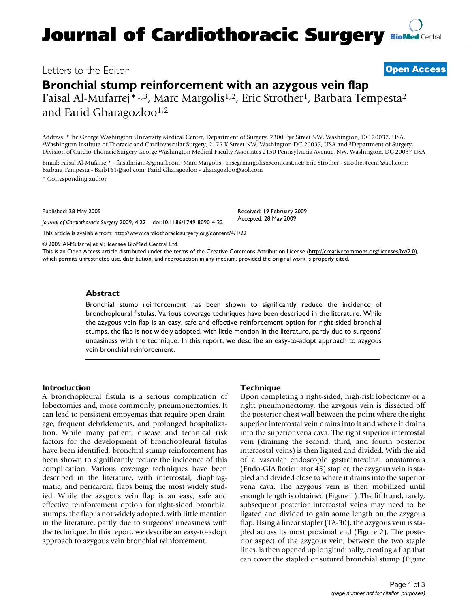# **Journal of Cardiothoracic Surgery [BioMed](http://www.biomedcentral.com/) Central**

# Letters to the Editor **[Open Access](http://www.biomedcentral.com/info/about/charter/)**

# **Bronchial stump reinforcement with an azygous vein flap** Faisal Al-Mufarrej<sup>\*1,3</sup>, Marc Margolis<sup>1,2</sup>, Eric Strother<sup>1</sup>, Barbara Tempesta<sup>2</sup>

and Farid Gharagozloo<sup>1,2</sup>

Address: <sup>1</sup>The George Washington University Medical Center, Department of Surgery, 2300 Eye Street NW, Washington, DC 20037, USA, <sup>2</sup>Washington Institute of Thoracic and Cardiovascular Surgery, 2175 K Street NW, Washingto Division of Cardio-Thoracic Surgery George Washington Medical Faculty Associates 2150 Pennsylvania Avenue, NW, Washington, DC 20037 USA

Email: Faisal Al-Mufarrej\* - faisalmiam@gmail.com; Marc Margolis - msegrmargolis@comcast.net; Eric Strother - strother4eeni@aol.com; Barbara Tempesta - BarbT61@aol.com; Farid Gharagozloo - gharagozloo@aol.com

\* Corresponding author

Published: 28 May 2009

*Journal of Cardiothoracic Surgery* 2009, **4**:22 doi:10.1186/1749-8090-4-22

[This article is available from: http://www.cardiothoracicsurgery.org/content/4/1/22](http://www.cardiothoracicsurgery.org/content/4/1/22)

© 2009 Al-Mufarrej et al; licensee BioMed Central Ltd.

This is an Open Access article distributed under the terms of the Creative Commons Attribution License [\(http://creativecommons.org/licenses/by/2.0\)](http://creativecommons.org/licenses/by/2.0), which permits unrestricted use, distribution, and reproduction in any medium, provided the original work is properly cited.

### **Abstract**

Bronchial stump reinforcement has been shown to significantly reduce the incidence of bronchopleural fistulas. Various coverage techniques have been described in the literature. While the azygous vein flap is an easy, safe and effective reinforcement option for right-sided bronchial stumps, the flap is not widely adopted, with little mention in the literature, partly due to surgeons' uneasiness with the technique. In this report, we describe an easy-to-adopt approach to azygous vein bronchial reinforcement.

### **Introduction**

A bronchopleural fistula is a serious complication of lobectomies and, more commonly, pneumonectomies. It can lead to persistent empyemas that require open drainage, frequent debridements, and prolonged hospitalization. While many patient, disease and technical risk factors for the development of bronchopleural fistulas have been identified, bronchial stump reinforcement has been shown to significantly reduce the incidence of this complication. Various coverage techniques have been described in the literature, with intercostal, diaphragmatic, and pericardial flaps being the most widely studied. While the azygous vein flap is an easy, safe and effective reinforcement option for right-sided bronchial stumps, the flap is not widely adopted, with little mention in the literature, partly due to surgeons' uneasiness with the technique. In this report, we describe an easy-to-adopt approach to azygous vein bronchial reinforcement.

# **Technique**

Received: 19 February 2009 Accepted: 28 May 2009

Upon completing a right-sided, high-risk lobectomy or a right pneumonectomy, the azygous vein is dissected off the posterior chest wall between the point where the right superior intercostal vein drains into it and where it drains into the superior vena cava. The right superior intercostal vein (draining the second, third, and fourth posterior intercostal veins) is then ligated and divided. With the aid of a vascular endoscopic gastrointestinal anastamosis (Endo-GIA Roticulator 45) stapler, the azygous vein is stapled and divided close to where it drains into the superior vena cava. The azygous vein is then mobilized until enough length is obtained (Figure 1). The fifth and, rarely, subsequent posterior intercostal veins may need to be ligated and divided to gain some length on the azygous flap. Using a linear stapler (TA-30), the azygous vein is stapled across its most proximal end (Figure 2). The posterior aspect of the azygous vein, between the two staple lines, is then opened up longitudinally, creating a flap that can cover the stapled or sutured bronchial stump (Figure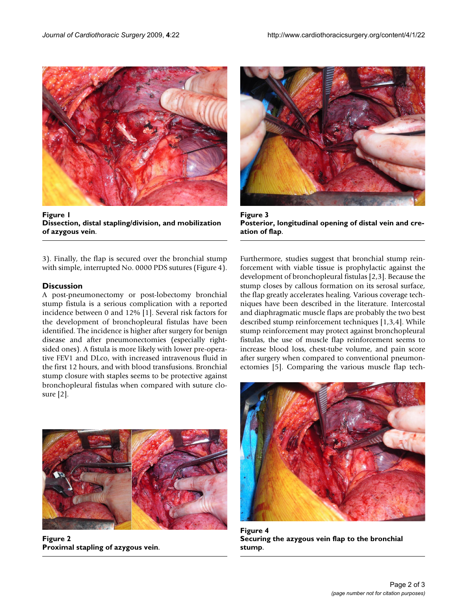

**Figure 1 Dissection, distal stapling/division, and mobilization of azygous vein**.

3). Finally, the flap is secured over the bronchial stump with simple, interrupted No. 0000 PDS sutures (Figure 4).

# **Discussion**

A post-pneumonectomy or post-lobectomy bronchial stump fistula is a serious complication with a reported incidence between 0 and 12% [1]. Several risk factors for the development of bronchopleural fistulas have been identified. The incidence is higher after surgery for benign disease and after pneumonectomies (especially rightsided ones). A fistula is more likely with lower pre-operative FEV1 and DLco, with increased intravenous fluid in the first 12 hours, and with blood transfusions. Bronchial stump closure with staples seems to be protective against bronchopleural fistulas when compared with suture closure [2].



**Figure 3 Posterior, longitudinal opening of distal vein and creation of flap**.

Furthermore, studies suggest that bronchial stump reinforcement with viable tissue is prophylactic against the development of bronchopleural fistulas [2,3]. Because the stump closes by callous formation on its serosal surface, the flap greatly accelerates healing. Various coverage techniques have been described in the literature. Intercostal and diaphragmatic muscle flaps are probably the two best described stump reinforcement techniques [1,3,4]. While stump reinforcement may protect against bronchopleural fistulas, the use of muscle flap reinforcement seems to increase blood loss, chest-tube volume, and pain score after surgery when compared to conventional pneumonectomies [5]. Comparing the various muscle flap tech-



**Figure 2 Proximal stapling of azygous vein**.



**Figure 4 Securing the azygous vein flap to the bronchial stump**.